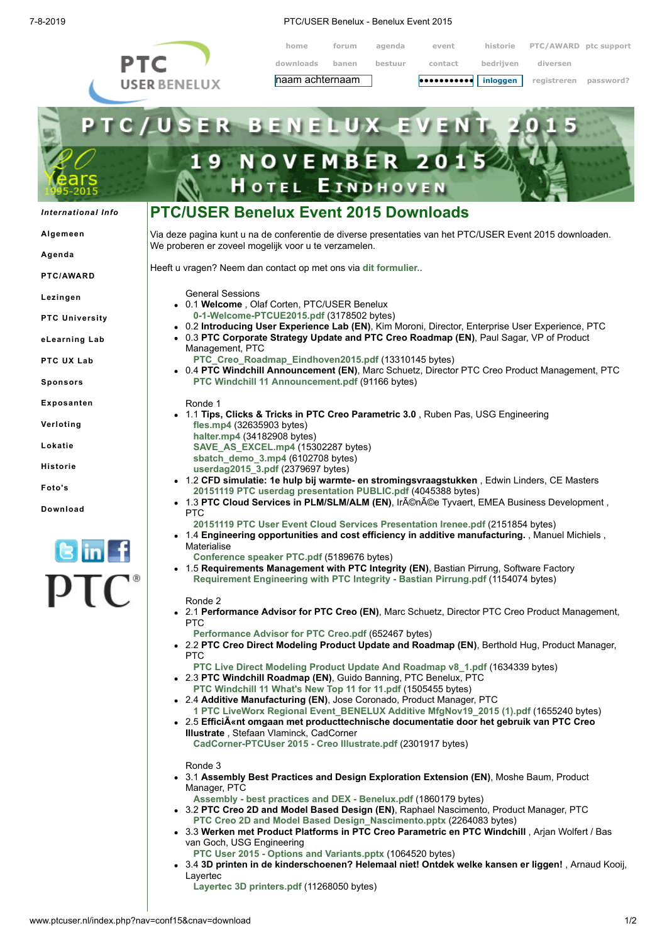

7-8-2019 PTC/USER Benelux - Benelux Event 2015

| naam achternaam |       |         | $  \bullet \bullet \bullet \bullet \bullet \bullet \bullet \bullet \bullet  $ inloggen |           | registreren password? |  |
|-----------------|-------|---------|----------------------------------------------------------------------------------------|-----------|-----------------------|--|
| downloads       | banen | bestuur | contact                                                                                | bedriiven | diversen              |  |
| home            | forum | agenda  | event                                                                                  | historie  | PTC/AWARD ptc support |  |

|                         | PTC/USER BENELUX<br>EV<br><b>19 NOVEMBER 2015</b>                                                                                                                                                                                                                                                                                                                                                                                                                                                                                                                                                                                                                       |
|-------------------------|-------------------------------------------------------------------------------------------------------------------------------------------------------------------------------------------------------------------------------------------------------------------------------------------------------------------------------------------------------------------------------------------------------------------------------------------------------------------------------------------------------------------------------------------------------------------------------------------------------------------------------------------------------------------------|
|                         | <b>HOTEL EINDHOVEN</b>                                                                                                                                                                                                                                                                                                                                                                                                                                                                                                                                                                                                                                                  |
| International Info      | <b>PTC/USER Benelux Event 2015 Downloads</b>                                                                                                                                                                                                                                                                                                                                                                                                                                                                                                                                                                                                                            |
| Algemeen                | Via deze pagina kunt u na de conferentie de diverse presentaties van het PTC/USER Event 2015 downloaden.<br>We proberen er zoveel mogelijk voor u te verzamelen.                                                                                                                                                                                                                                                                                                                                                                                                                                                                                                        |
| Agenda                  | Heeft u vragen? Neem dan contact op met ons via dit formulier                                                                                                                                                                                                                                                                                                                                                                                                                                                                                                                                                                                                           |
| PTC/AWARD               |                                                                                                                                                                                                                                                                                                                                                                                                                                                                                                                                                                                                                                                                         |
| Lezingen                | <b>General Sessions</b><br>• 0.1 Welcome, Olaf Corten, PTC/USER Benelux                                                                                                                                                                                                                                                                                                                                                                                                                                                                                                                                                                                                 |
| <b>PTC University</b>   | 0-1-Welcome-PTCUE2015.pdf (3178502 bytes)<br>. 0.2 Introducing User Experience Lab (EN), Kim Moroni, Director, Enterprise User Experience, PTC                                                                                                                                                                                                                                                                                                                                                                                                                                                                                                                          |
| eLearning Lab           | . 0.3 PTC Corporate Strategy Update and PTC Creo Roadmap (EN), Paul Sagar, VP of Product<br>Management, PTC                                                                                                                                                                                                                                                                                                                                                                                                                                                                                                                                                             |
| PTC UX Lab              | PTC_Creo_Roadmap_Eindhoven2015.pdf (13310145 bytes)<br>. 0.4 PTC Windchill Announcement (EN), Marc Schuetz, Director PTC Creo Product Management, PTC<br>PTC Windchill 11 Announcement.pdf (91166 bytes)                                                                                                                                                                                                                                                                                                                                                                                                                                                                |
| <b>Sponsors</b>         |                                                                                                                                                                                                                                                                                                                                                                                                                                                                                                                                                                                                                                                                         |
| Exposanten<br>Verloting | Ronde 1<br>• 1.1 Tips, Clicks & Tricks in PTC Creo Parametric 3.0, Ruben Pas, USG Engineering                                                                                                                                                                                                                                                                                                                                                                                                                                                                                                                                                                           |
| Lokatie                 | fles.mp4 (32635903 bytes)<br>halter.mp4 (34182908 bytes)<br>SAVE_AS_EXCEL.mp4 (15302287 bytes)                                                                                                                                                                                                                                                                                                                                                                                                                                                                                                                                                                          |
| <b>Historie</b>         | sbatch_demo_3.mp4 (6102708 bytes)                                                                                                                                                                                                                                                                                                                                                                                                                                                                                                                                                                                                                                       |
| Foto's                  | userdag2015_3.pdf (2379697 bytes)<br>• 1.2 CFD simulatie: 1e hulp bij warmte- en stromingsvraagstukken, Edwin Linders, CE Masters                                                                                                                                                                                                                                                                                                                                                                                                                                                                                                                                       |
| Download                | 20151119 PTC userdag presentation PUBLIC.pdf (4045388 bytes)<br>• 1.3 PTC Cloud Services in PLM/SLM/ALM (EN), Irénée Tyvaert, EMEA Business Development,<br><b>PTC</b>                                                                                                                                                                                                                                                                                                                                                                                                                                                                                                  |
|                         | 20151119 PTC User Event Cloud Services Presentation Irenee.pdf (2151854 bytes)<br>• 1.4 Engineering opportunities and cost efficiency in additive manufacturing., Manuel Michiels,                                                                                                                                                                                                                                                                                                                                                                                                                                                                                      |
| $Bin$                   | Materialise<br>Conference speaker PTC.pdf (5189676 bytes)                                                                                                                                                                                                                                                                                                                                                                                                                                                                                                                                                                                                               |
|                         | • 1.5 Requirements Management with PTC Integrity (EN), Bastian Pirrung, Software Factory<br>Requirement Engineering with PTC Integrity - Bastian Pirrung.pdf (1154074 bytes)                                                                                                                                                                                                                                                                                                                                                                                                                                                                                            |
|                         | Ronde 2<br>• 2.1 Performance Advisor for PTC Creo (EN), Marc Schuetz, Director PTC Creo Product Management,<br><b>PTC</b>                                                                                                                                                                                                                                                                                                                                                                                                                                                                                                                                               |
|                         | Performance Advisor for PTC Creo.pdf (652467 bytes)<br>• 2.2 PTC Creo Direct Modeling Product Update and Roadmap (EN), Berthold Hug, Product Manager,<br><b>PTC</b>                                                                                                                                                                                                                                                                                                                                                                                                                                                                                                     |
|                         | PTC Live Direct Modeling Product Update And Roadmap v8 1.pdf (1634339 bytes)<br>• 2.3 PTC Windchill Roadmap (EN), Guido Banning, PTC Benelux, PTC<br>PTC Windchill 11 What's New Top 11 for 11.pdf (1505455 bytes)<br>• 2.4 Additive Manufacturing (EN), Jose Coronado, Product Manager, PTC                                                                                                                                                                                                                                                                                                                                                                            |
|                         | 1 PTC LiveWorx Regional Event_BENELUX Additive MfgNov19_2015 (1).pdf (1655240 bytes)<br>• 2.5 EfficiA«nt omgaan met producttechnische documentatie door het gebruik van PTC Creo<br>Illustrate, Stefaan Vlaminck, CadCorner<br>CadCorner-PTCUser 2015 - Creo Illustrate.pdf (2301917 bytes)                                                                                                                                                                                                                                                                                                                                                                             |
|                         | Ronde 3<br>• 3.1 Assembly Best Practices and Design Exploration Extension (EN), Moshe Baum, Product<br>Manager, PTC<br>Assembly - best practices and DEX - Benelux.pdf (1860179 bytes)<br>• 3.2 PTC Creo 2D and Model Based Design (EN), Raphael Nascimento, Product Manager, PTC<br>PTC Creo 2D and Model Based Design Nascimento.pptx (2264083 bytes)<br>• 3.3 Werken met Product Platforms in PTC Creo Parametric en PTC Windchill, Arjan Wolfert / Bas<br>van Goch, USG Engineering<br>PTC User 2015 - Options and Variants.pptx (1064520 bytes)<br>• 3.4 3D printen in de kinderschoenen? Helemaal niet! Ontdek welke kansen er liggen!, Arnaud Kooij,<br>Layertec |

**[Layertec 3D printers.pdf](http://www.ptcuser.nl/conf_15/presentations/3-4-3D%20printen%20in%20de%20kinderschoenen.%20Helemaal%20niet.%20Ontdek%20welke%20kansen%20er%20liggen/Layertec%203D%20printers.pdf)** (11268050 bytes)